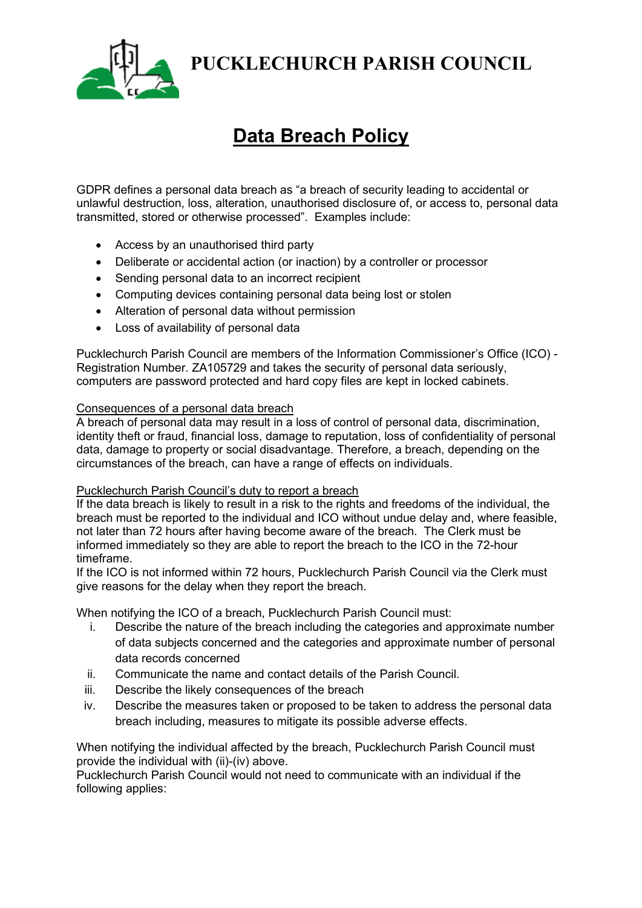

**PUCKLECHURCH PARISH COUNCIL**

# **Data Breach Policy**

GDPR defines a personal data breach as "a breach of security leading to accidental or unlawful destruction, loss, alteration, unauthorised disclosure of, or access to, personal data transmitted, stored or otherwise processed". Examples include:

- Access by an unauthorised third party
- Deliberate or accidental action (or inaction) by a controller or processor
- Sending personal data to an incorrect recipient
- Computing devices containing personal data being lost or stolen
- Alteration of personal data without permission
- Loss of availability of personal data

Pucklechurch Parish Council are members of the Information Commissioner's Office (ICO) - Registration Number. ZA105729 and takes the security of personal data seriously, computers are password protected and hard copy files are kept in locked cabinets.

### Consequences of a personal data breach

A breach of personal data may result in a loss of control of personal data, discrimination, identity theft or fraud, financial loss, damage to reputation, loss of confidentiality of personal data, damage to property or social disadvantage. Therefore, a breach, depending on the circumstances of the breach, can have a range of effects on individuals.

#### Pucklechurch Parish Council's duty to report a breach

If the data breach is likely to result in a risk to the rights and freedoms of the individual, the breach must be reported to the individual and ICO without undue delay and, where feasible, not later than 72 hours after having become aware of the breach. The Clerk must be informed immediately so they are able to report the breach to the ICO in the 72-hour timeframe.

If the ICO is not informed within 72 hours, Pucklechurch Parish Council via the Clerk must give reasons for the delay when they report the breach.

When notifying the ICO of a breach, Pucklechurch Parish Council must:

- i. Describe the nature of the breach including the categories and approximate number of data subjects concerned and the categories and approximate number of personal data records concerned
- ii. Communicate the name and contact details of the Parish Council.
- iii. Describe the likely consequences of the breach
- iv. Describe the measures taken or proposed to be taken to address the personal data breach including, measures to mitigate its possible adverse effects.

When notifying the individual affected by the breach, Pucklechurch Parish Council must provide the individual with (ii)-(iv) above.

Pucklechurch Parish Council would not need to communicate with an individual if the following applies: